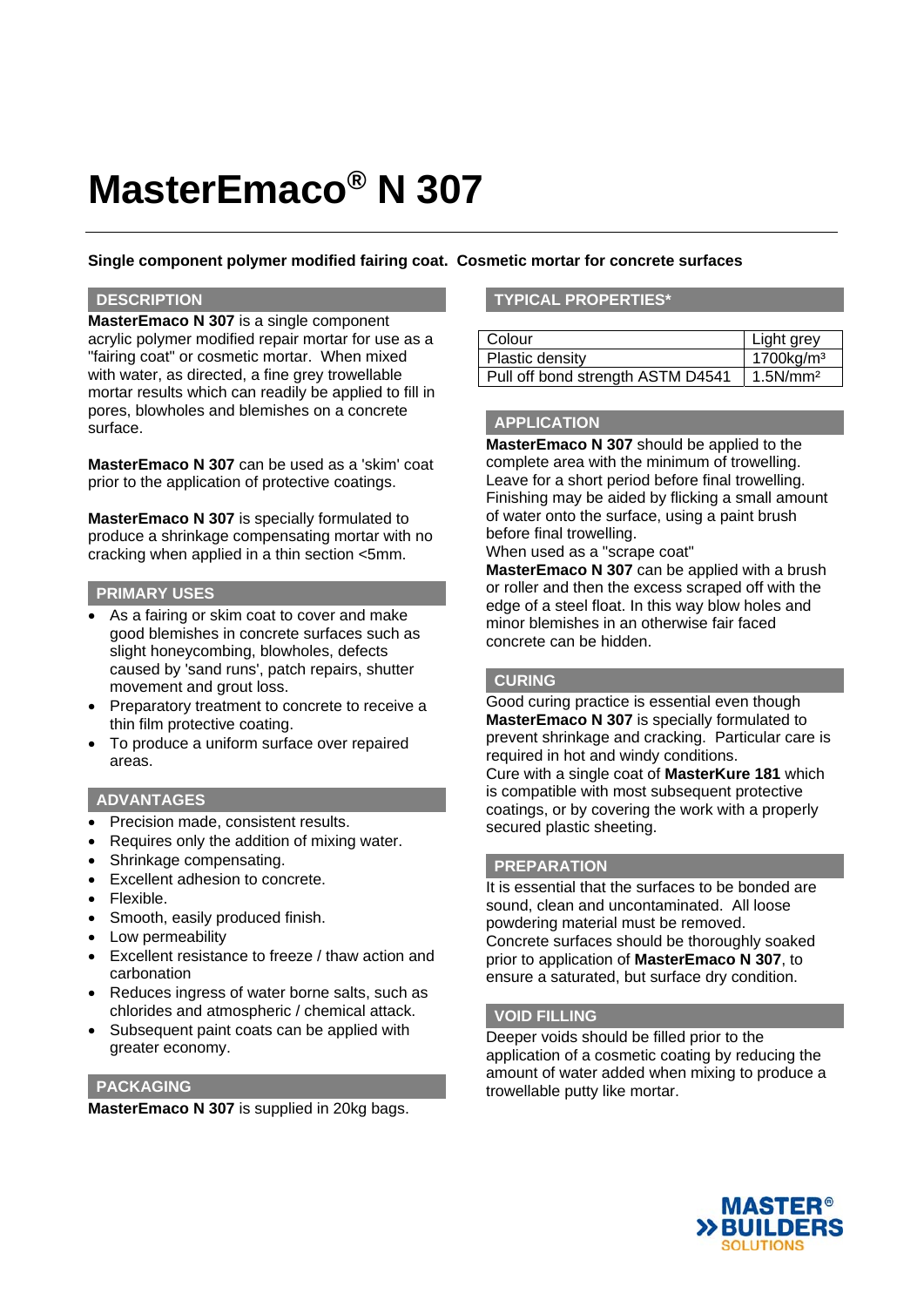# **MasterEmaco® N 307**

## **Single component polymer modified fairing coat. Cosmetic mortar for concrete surfaces**

### **DESCRIPTION**

**MasterEmaco N 307** is a single component acrylic polymer modified repair mortar for use as a "fairing coat" or cosmetic mortar. When mixed with water, as directed, a fine grey trowellable mortar results which can readily be applied to fill in pores, blowholes and blemishes on a concrete surface.

**MasterEmaco N 307** can be used as a 'skim' coat prior to the application of protective coatings.

**MasterEmaco N 307** is specially formulated to produce a shrinkage compensating mortar with no cracking when applied in a thin section <5mm.

### **PRIMARY USES**

- As a fairing or skim coat to cover and make good blemishes in concrete surfaces such as slight honeycombing, blowholes, defects caused by 'sand runs', patch repairs, shutter movement and grout loss.
- Preparatory treatment to concrete to receive a thin film protective coating.
- To produce a uniform surface over repaired areas.

## **ADVANTAGES**

- Precision made, consistent results.
- Requires only the addition of mixing water.
- Shrinkage compensating.
- Excellent adhesion to concrete.
- Flexible.
- Smooth, easily produced finish.
- Low permeability
- Excellent resistance to freeze / thaw action and carbonation
- Reduces ingress of water borne salts, such as chlorides and atmospheric / chemical attack.
- Subsequent paint coats can be applied with greater economy.

### **PACKAGING**

**MasterEmaco N 307** is supplied in 20kg bags.

## **TYPICAL PROPERTIES\***

| Colour                            | Light grey            |
|-----------------------------------|-----------------------|
| Plastic density                   | 1700kg/m <sup>3</sup> |
| Pull off bond strength ASTM D4541 | 1.5N/mm <sup>2</sup>  |

### **APPLICATION**

**MasterEmaco N 307** should be applied to the complete area with the minimum of trowelling. Leave for a short period before final trowelling. Finishing may be aided by flicking a small amount of water onto the surface, using a paint brush before final trowelling.

When used as a "scrape coat"

**MasterEmaco N 307** can be applied with a brush or roller and then the excess scraped off with the edge of a steel float. In this way blow holes and minor blemishes in an otherwise fair faced concrete can be hidden.

### **CURING**

Good curing practice is essential even though **MasterEmaco N 307** is specially formulated to prevent shrinkage and cracking. Particular care is required in hot and windy conditions. Cure with a single coat of **MasterKure 181** which is compatible with most subsequent protective coatings, or by covering the work with a properly secured plastic sheeting.

### **PREPARATION**

It is essential that the surfaces to be bonded are sound, clean and uncontaminated. All loose powdering material must be removed. Concrete surfaces should be thoroughly soaked prior to application of **MasterEmaco N 307**, to ensure a saturated, but surface dry condition.

### **VOID FILLING**

Deeper voids should be filled prior to the application of a cosmetic coating by reducing the amount of water added when mixing to produce a trowellable putty like mortar.